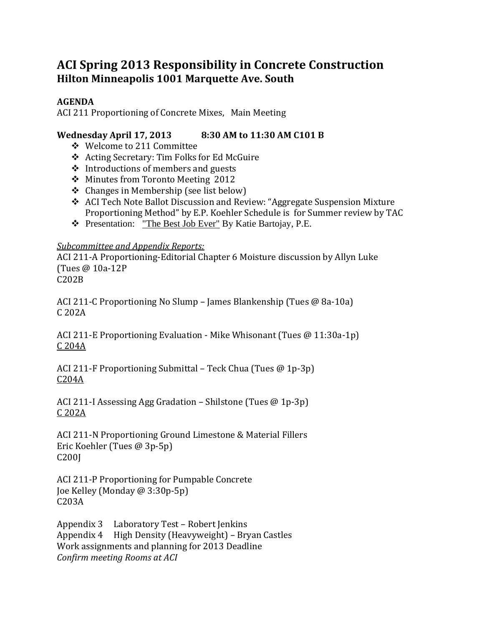# **ACI Spring 2013 Responsibility in Concrete Construction Hilton Minneapolis 1001 Marquette Ave. South**

# **AGENDA**

ACI 211 Proportioning of Concrete Mixes, Main Meeting

# **Wednesday April 17, 2013 8:30 AM to 11:30 AM C101 B**

- ❖ Welcome to 211 Committee
- ❖ Acting Secretary: Tim Folks for Ed McGuire
- $\triangleleft$  Introductions of members and guests
- ❖ Minutes from Toronto Meeting 2012
- $\triangleleft$  Changes in Membership (see list below)
- ❖ ACI Tech Note Ballot Discussion and Review: "Aggregate Suspension Mixture Proportioning Method" by E.P. Koehler Schedule is for Summer review by TAC
- Presentation: "The Best Job Ever" By Katie Bartojay, P.E.

### *Subcommittee and Appendix Reports:*

ACI 211-A Proportioning-Editorial Chapter 6 Moisture discussion by Allyn Luke (Tues @ 10a‐12P C202B 

ACI 211-C Proportioning No Slump – James Blankenship (Tues  $@$  8a-10a) C 202A 

ACI 211-E Proportioning Evaluation - Mike Whisonant (Tues @ 11:30a-1p) C 204A 

ACI 211-F Proportioning Submittal – Teck Chua (Tues  $@$  1p-3p) C204A 

ACI 211-I Assessing Agg Gradation – Shilstone (Tues  $@1p-3p$ )  $C$  202 $A$ 

ACI 211-N Proportioning Ground Limestone & Material Fillers Eric Koehler (Tues @ 3p-5p) C200J 

ACI 211-P Proportioning for Pumpable Concrete Joe Kelley (Monday @ 3:30p-5p) C203A 

Appendix 3 Laboratory Test – Robert Jenkins Appendix  $4$  High Density (Heavyweight) – Bryan Castles Work assignments and planning for 2013 Deadline *Confirm meeting Rooms at ACI*